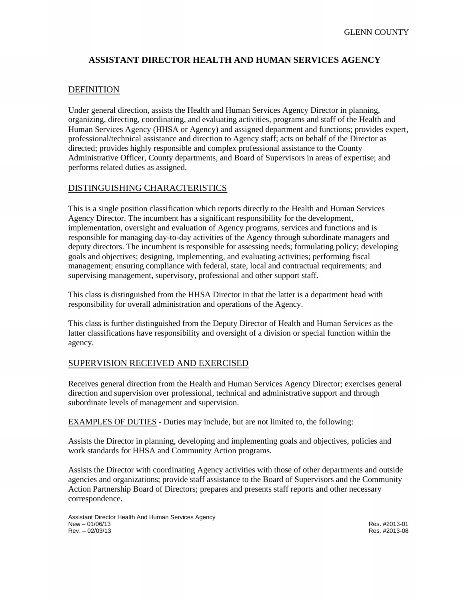# **ASSISTANT DIRECTOR HEALTH AND HUMAN SERVICES AGENCY**

# DEFINITION

Under general direction, assists the Health and Human Services Agency Director in planning, organizing, directing, coordinating, and evaluating activities, programs and staff of the Health and Human Services Agency (HHSA or Agency) and assigned department and functions; provides expert, professional/technical assistance and direction to Agency staff; acts on behalf of the Director as directed; provides highly responsible and complex professional assistance to the County Administrative Officer, County departments, and Board of Supervisors in areas of expertise; and performs related duties as assigned.

## DISTINGUISHING CHARACTERISTICS

This is a single position classification which reports directly to the Health and Human Services Agency Director. The incumbent has a significant responsibility for the development, implementation, oversight and evaluation of Agency programs, services and functions and is responsible for managing day-to-day activities of the Agency through subordinate managers and deputy directors. The incumbent is responsible for assessing needs; formulating policy; developing goals and objectives; designing, implementing, and evaluating activities; performing fiscal management; ensuring compliance with federal, state, local and contractual requirements; and supervising management, supervisory, professional and other support staff.

This class is distinguished from the HHSA Director in that the latter is a department head with responsibility for overall administration and operations of the Agency.

This class is further distinguished from the Deputy Director of Health and Human Services as the latter classifications have responsibility and oversight of a division or special function within the agency.

### SUPERVISION RECEIVED AND EXERCISED

Receives general direction from the Health and Human Services Agency Director; exercises general direction and supervision over professional, technical and administrative support and through subordinate levels of management and supervision.

EXAMPLES OF DUTIES - Duties may include, but are not limited to, the following:

Assists the Director in planning, developing and implementing goals and objectives, policies and work standards for HHSA and Community Action programs.

Assists the Director with coordinating Agency activities with those of other departments and outside agencies and organizations; provide staff assistance to the Board of Supervisors and the Community Action Partnership Board of Directors; prepares and presents staff reports and other necessary correspondence.

Assistant Director Health And Human Services Agency New – 01/06/13 Res. #2013-01 Rev. – 02/03/13 Res. #2013-08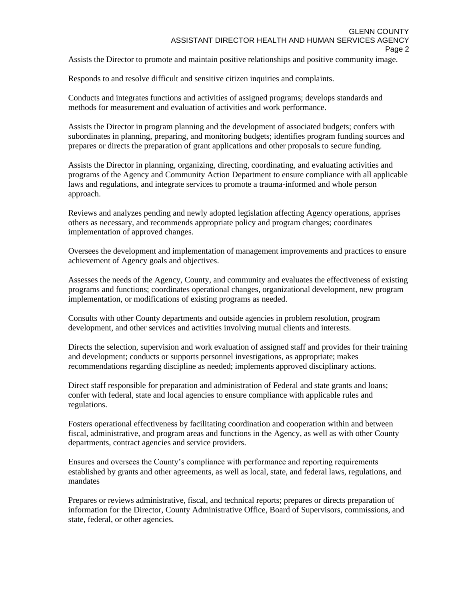Assists the Director to promote and maintain positive relationships and positive community image.

Responds to and resolve difficult and sensitive citizen inquiries and complaints.

Conducts and integrates functions and activities of assigned programs; develops standards and methods for measurement and evaluation of activities and work performance.

Assists the Director in program planning and the development of associated budgets; confers with subordinates in planning, preparing, and monitoring budgets; identifies program funding sources and prepares or directs the preparation of grant applications and other proposals to secure funding.

Assists the Director in planning, organizing, directing, coordinating, and evaluating activities and programs of the Agency and Community Action Department to ensure compliance with all applicable laws and regulations, and integrate services to promote a trauma-informed and whole person approach.

Reviews and analyzes pending and newly adopted legislation affecting Agency operations, apprises others as necessary, and recommends appropriate policy and program changes; coordinates implementation of approved changes.

Oversees the development and implementation of management improvements and practices to ensure achievement of Agency goals and objectives.

Assesses the needs of the Agency, County, and community and evaluates the effectiveness of existing programs and functions; coordinates operational changes, organizational development, new program implementation, or modifications of existing programs as needed.

Consults with other County departments and outside agencies in problem resolution, program development, and other services and activities involving mutual clients and interests.

Directs the selection, supervision and work evaluation of assigned staff and provides for their training and development; conducts or supports personnel investigations, as appropriate; makes recommendations regarding discipline as needed; implements approved disciplinary actions.

Direct staff responsible for preparation and administration of Federal and state grants and loans; confer with federal, state and local agencies to ensure compliance with applicable rules and regulations.

Fosters operational effectiveness by facilitating coordination and cooperation within and between fiscal, administrative, and program areas and functions in the Agency, as well as with other County departments, contract agencies and service providers.

Ensures and oversees the County's compliance with performance and reporting requirements established by grants and other agreements, as well as local, state, and federal laws, regulations, and mandates

Prepares or reviews administrative, fiscal, and technical reports; prepares or directs preparation of information for the Director, County Administrative Office, Board of Supervisors, commissions, and state, federal, or other agencies.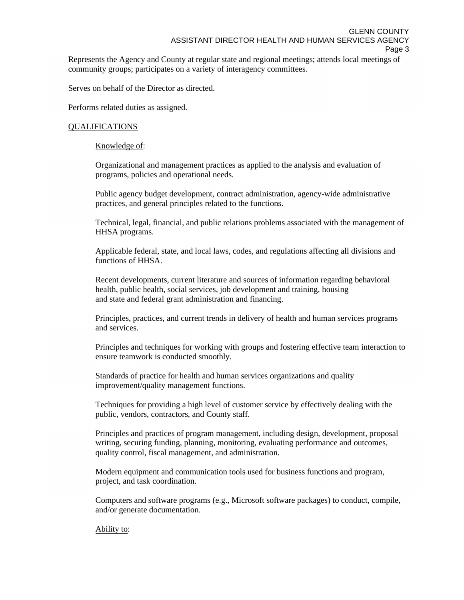Represents the Agency and County at regular state and regional meetings; attends local meetings of community groups; participates on a variety of interagency committees.

Serves on behalf of the Director as directed.

Performs related duties as assigned.

### QUALIFICATIONS

Knowledge of:

Organizational and management practices as applied to the analysis and evaluation of programs, policies and operational needs.

Public agency budget development, contract administration, agency-wide administrative practices, and general principles related to the functions.

Technical, legal, financial, and public relations problems associated with the management of HHSA programs.

Applicable federal, state, and local laws, codes, and regulations affecting all divisions and functions of HHSA.

Recent developments, current literature and sources of information regarding behavioral health, public health, social services, job development and training, housing and state and federal grant administration and financing.

Principles, practices, and current trends in delivery of health and human services programs and services.

Principles and techniques for working with groups and fostering effective team interaction to ensure teamwork is conducted smoothly.

Standards of practice for health and human services organizations and quality improvement/quality management functions.

Techniques for providing a high level of customer service by effectively dealing with the public, vendors, contractors, and County staff.

Principles and practices of program management, including design, development, proposal writing, securing funding, planning, monitoring, evaluating performance and outcomes, quality control, fiscal management, and administration.

Modern equipment and communication tools used for business functions and program, project, and task coordination.

Computers and software programs (e.g., Microsoft software packages) to conduct, compile, and/or generate documentation.

Ability to: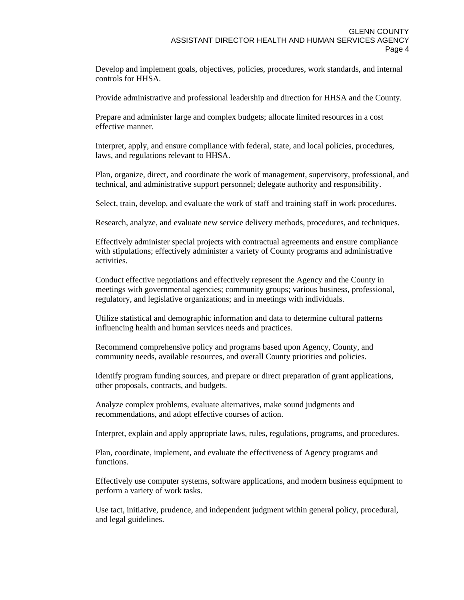Develop and implement goals, objectives, policies, procedures, work standards, and internal controls for HHSA.

Provide administrative and professional leadership and direction for HHSA and the County.

Prepare and administer large and complex budgets; allocate limited resources in a cost effective manner.

Interpret, apply, and ensure compliance with federal, state, and local policies, procedures, laws, and regulations relevant to HHSA.

Plan, organize, direct, and coordinate the work of management, supervisory, professional, and technical, and administrative support personnel; delegate authority and responsibility.

Select, train, develop, and evaluate the work of staff and training staff in work procedures.

Research, analyze, and evaluate new service delivery methods, procedures, and techniques.

Effectively administer special projects with contractual agreements and ensure compliance with stipulations; effectively administer a variety of County programs and administrative activities.

Conduct effective negotiations and effectively represent the Agency and the County in meetings with governmental agencies; community groups; various business, professional, regulatory, and legislative organizations; and in meetings with individuals.

Utilize statistical and demographic information and data to determine cultural patterns influencing health and human services needs and practices.

Recommend comprehensive policy and programs based upon Agency, County, and community needs, available resources, and overall County priorities and policies.

Identify program funding sources, and prepare or direct preparation of grant applications, other proposals, contracts, and budgets.

Analyze complex problems, evaluate alternatives, make sound judgments and recommendations, and adopt effective courses of action.

Interpret, explain and apply appropriate laws, rules, regulations, programs, and procedures.

Plan, coordinate, implement, and evaluate the effectiveness of Agency programs and functions.

Effectively use computer systems, software applications, and modern business equipment to perform a variety of work tasks.

Use tact, initiative, prudence, and independent judgment within general policy, procedural, and legal guidelines.